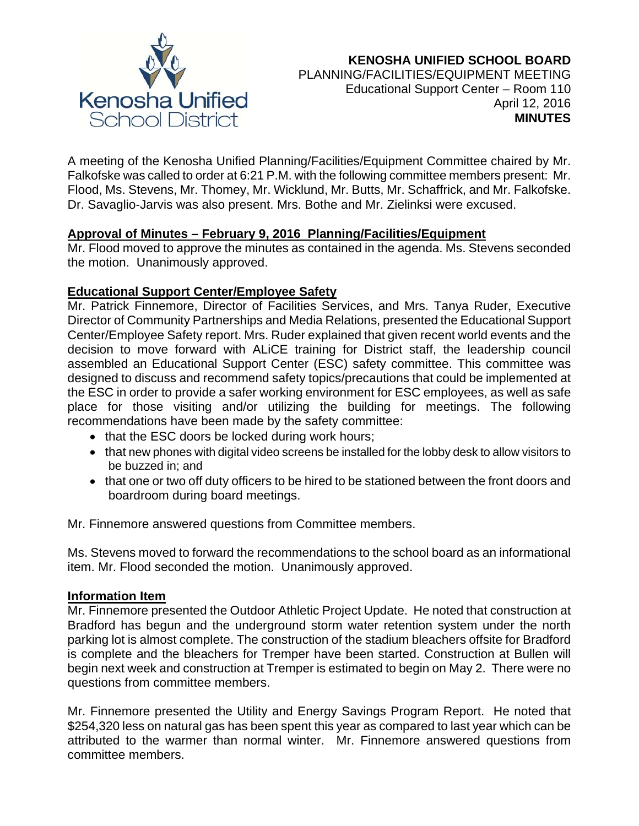

# **KENOSHA UNIFIED SCHOOL BOARD** PLANNING/FACILITIES/EQUIPMENT MEETING Educational Support Center – Room 110 April 12, 2016 **MINUTES**

A meeting of the Kenosha Unified Planning/Facilities/Equipment Committee chaired by Mr. Falkofske was called to order at 6:21 P.M. with the following committee members present: Mr. Flood, Ms. Stevens, Mr. Thomey, Mr. Wicklund, Mr. Butts, Mr. Schaffrick, and Mr. Falkofske. Dr. Savaglio-Jarvis was also present. Mrs. Bothe and Mr. Zielinksi were excused.

### **Approval of Minutes – February 9, 2016 Planning/Facilities/Equipment**

Mr. Flood moved to approve the minutes as contained in the agenda. Ms. Stevens seconded the motion. Unanimously approved.

### **Educational Support Center/Employee Safety**

Mr. Patrick Finnemore, Director of Facilities Services, and Mrs. Tanya Ruder, Executive Director of Community Partnerships and Media Relations, presented the Educational Support Center/Employee Safety report. Mrs. Ruder explained that given recent world events and the decision to move forward with ALiCE training for District staff, the leadership council assembled an Educational Support Center (ESC) safety committee. This committee was designed to discuss and recommend safety topics/precautions that could be implemented at the ESC in order to provide a safer working environment for ESC employees, as well as safe place for those visiting and/or utilizing the building for meetings. The following recommendations have been made by the safety committee:

- that the ESC doors be locked during work hours;
- that new phones with digital video screens be installed for the lobby desk to allow visitors to be buzzed in; and
- that one or two off duty officers to be hired to be stationed between the front doors and boardroom during board meetings.

Mr. Finnemore answered questions from Committee members.

Ms. Stevens moved to forward the recommendations to the school board as an informational item. Mr. Flood seconded the motion. Unanimously approved.

### **Information Item**

Mr. Finnemore presented the Outdoor Athletic Project Update. He noted that construction at Bradford has begun and the underground storm water retention system under the north parking lot is almost complete. The construction of the stadium bleachers offsite for Bradford is complete and the bleachers for Tremper have been started. Construction at Bullen will begin next week and construction at Tremper is estimated to begin on May 2. There were no questions from committee members.

Mr. Finnemore presented the Utility and Energy Savings Program Report. He noted that \$254,320 less on natural gas has been spent this year as compared to last year which can be attributed to the warmer than normal winter. Mr. Finnemore answered questions from committee members.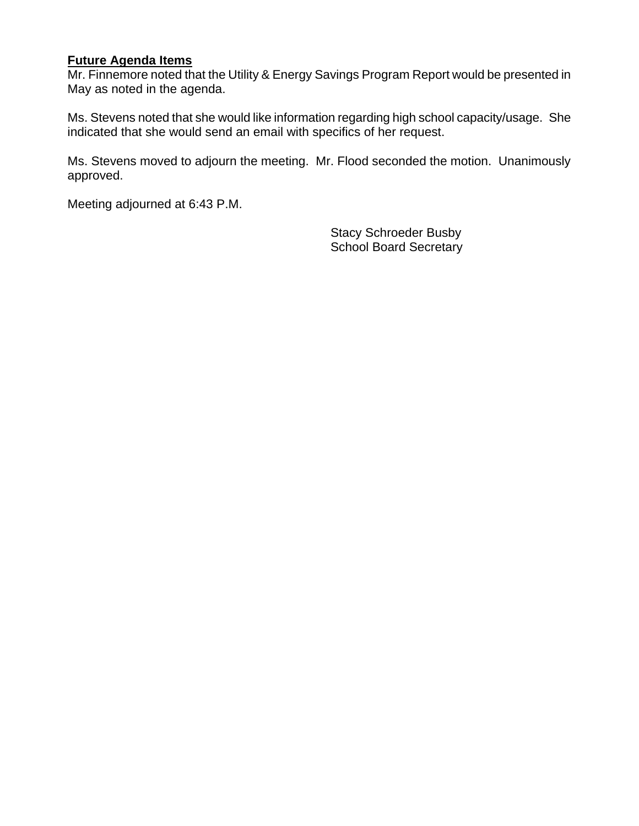#### **Future Agenda Items**

Mr. Finnemore noted that the Utility & Energy Savings Program Report would be presented in May as noted in the agenda.

Ms. Stevens noted that she would like information regarding high school capacity/usage. She indicated that she would send an email with specifics of her request.

Ms. Stevens moved to adjourn the meeting. Mr. Flood seconded the motion. Unanimously approved.

Meeting adjourned at 6:43 P.M.

 Stacy Schroeder Busby School Board Secretary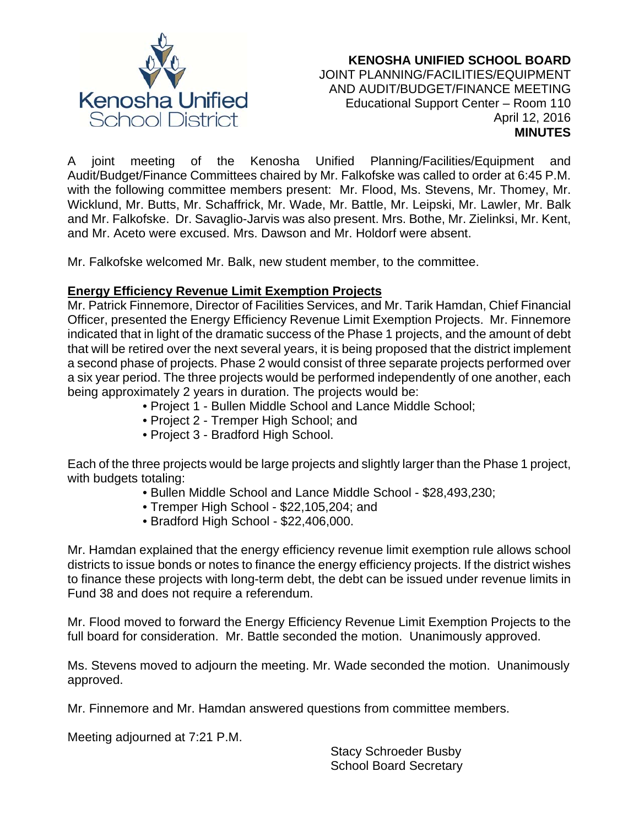

#### **KENOSHA UNIFIED SCHOOL BOARD** JOINT PLANNING/FACILITIES/EQUIPMENT AND AUDIT/BUDGET/FINANCE MEETING Educational Support Center – Room 110 April 12, 2016 **MINUTES**

A joint meeting of the Kenosha Unified Planning/Facilities/Equipment and Audit/Budget/Finance Committees chaired by Mr. Falkofske was called to order at 6:45 P.M. with the following committee members present: Mr. Flood, Ms. Stevens, Mr. Thomey, Mr. Wicklund, Mr. Butts, Mr. Schaffrick, Mr. Wade, Mr. Battle, Mr. Leipski, Mr. Lawler, Mr. Balk and Mr. Falkofske. Dr. Savaglio-Jarvis was also present. Mrs. Bothe, Mr. Zielinksi, Mr. Kent, and Mr. Aceto were excused. Mrs. Dawson and Mr. Holdorf were absent.

Mr. Falkofske welcomed Mr. Balk, new student member, to the committee.

## **Energy Efficiency Revenue Limit Exemption Projects**

Mr. Patrick Finnemore, Director of Facilities Services, and Mr. Tarik Hamdan, Chief Financial Officer, presented the Energy Efficiency Revenue Limit Exemption Projects. Mr. Finnemore indicated that in light of the dramatic success of the Phase 1 projects, and the amount of debt that will be retired over the next several years, it is being proposed that the district implement a second phase of projects. Phase 2 would consist of three separate projects performed over a six year period. The three projects would be performed independently of one another, each being approximately 2 years in duration. The projects would be:

- Project 1 Bullen Middle School and Lance Middle School;
- Project 2 Tremper High School; and
- Project 3 Bradford High School.

Each of the three projects would be large projects and slightly larger than the Phase 1 project, with budgets totaling:

- Bullen Middle School and Lance Middle School \$28,493,230;
- Tremper High School \$22,105,204; and
- Bradford High School \$22,406,000.

Mr. Hamdan explained that the energy efficiency revenue limit exemption rule allows school districts to issue bonds or notes to finance the energy efficiency projects. If the district wishes to finance these projects with long-term debt, the debt can be issued under revenue limits in Fund 38 and does not require a referendum.

Mr. Flood moved to forward the Energy Efficiency Revenue Limit Exemption Projects to the full board for consideration. Mr. Battle seconded the motion. Unanimously approved.

Ms. Stevens moved to adjourn the meeting. Mr. Wade seconded the motion. Unanimously approved.

Mr. Finnemore and Mr. Hamdan answered questions from committee members.

Meeting adjourned at 7:21 P.M.

 Stacy Schroeder Busby School Board Secretary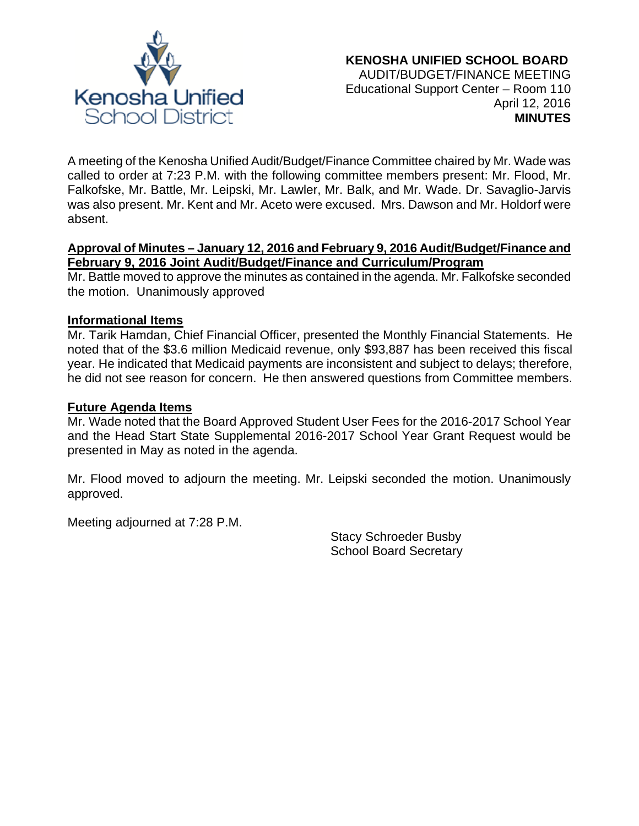

A meeting of the Kenosha Unified Audit/Budget/Finance Committee chaired by Mr. Wade was called to order at 7:23 P.M. with the following committee members present: Mr. Flood, Mr. Falkofske, Mr. Battle, Mr. Leipski, Mr. Lawler, Mr. Balk, and Mr. Wade. Dr. Savaglio-Jarvis was also present. Mr. Kent and Mr. Aceto were excused. Mrs. Dawson and Mr. Holdorf were absent.

## **Approval of Minutes – January 12, 2016 and February 9, 2016 Audit/Budget/Finance and February 9, 2016 Joint Audit/Budget/Finance and Curriculum/Program**

Mr. Battle moved to approve the minutes as contained in the agenda. Mr. Falkofske seconded the motion. Unanimously approved

## **Informational Items**

Mr. Tarik Hamdan, Chief Financial Officer, presented the Monthly Financial Statements. He noted that of the \$3.6 million Medicaid revenue, only \$93,887 has been received this fiscal year. He indicated that Medicaid payments are inconsistent and subject to delays; therefore, he did not see reason for concern. He then answered questions from Committee members.

## **Future Agenda Items**

Mr. Wade noted that the Board Approved Student User Fees for the 2016-2017 School Year and the Head Start State Supplemental 2016-2017 School Year Grant Request would be presented in May as noted in the agenda.

Mr. Flood moved to adjourn the meeting. Mr. Leipski seconded the motion. Unanimously approved.

Meeting adjourned at 7:28 P.M.

Stacy Schroeder Busby School Board Secretary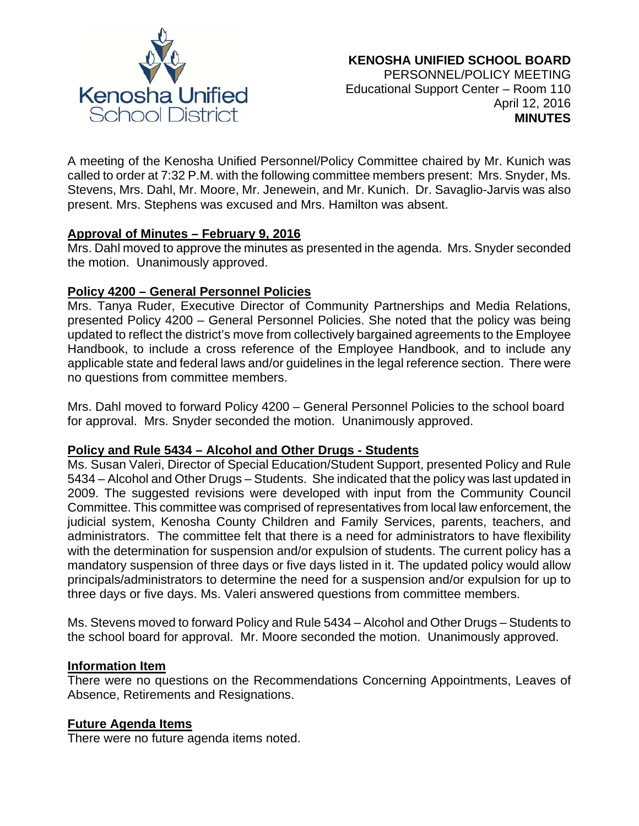

A meeting of the Kenosha Unified Personnel/Policy Committee chaired by Mr. Kunich was called to order at 7:32 P.M. with the following committee members present: Mrs. Snyder, Ms. Stevens, Mrs. Dahl, Mr. Moore, Mr. Jenewein, and Mr. Kunich. Dr. Savaglio-Jarvis was also present. Mrs. Stephens was excused and Mrs. Hamilton was absent.

### **Approval of Minutes – February 9, 2016**

Mrs. Dahl moved to approve the minutes as presented in the agenda. Mrs. Snyder seconded the motion. Unanimously approved.

### **Policy 4200 – General Personnel Policies**

Mrs. Tanya Ruder, Executive Director of Community Partnerships and Media Relations, presented Policy 4200 – General Personnel Policies. She noted that the policy was being updated to reflect the district's move from collectively bargained agreements to the Employee Handbook, to include a cross reference of the Employee Handbook, and to include any applicable state and federal laws and/or guidelines in the legal reference section. There were no questions from committee members.

Mrs. Dahl moved to forward Policy 4200 – General Personnel Policies to the school board for approval. Mrs. Snyder seconded the motion. Unanimously approved.

### **Policy and Rule 5434 – Alcohol and Other Drugs - Students**

Ms. Susan Valeri, Director of Special Education/Student Support, presented Policy and Rule 5434 – Alcohol and Other Drugs – Students. She indicated that the policy was last updated in 2009. The suggested revisions were developed with input from the Community Council Committee. This committee was comprised of representatives from local law enforcement, the judicial system, Kenosha County Children and Family Services, parents, teachers, and administrators. The committee felt that there is a need for administrators to have flexibility with the determination for suspension and/or expulsion of students. The current policy has a mandatory suspension of three days or five days listed in it. The updated policy would allow principals/administrators to determine the need for a suspension and/or expulsion for up to three days or five days. Ms. Valeri answered questions from committee members.

Ms. Stevens moved to forward Policy and Rule 5434 – Alcohol and Other Drugs – Students to the school board for approval. Mr. Moore seconded the motion. Unanimously approved.

#### **Information Item**

There were no questions on the Recommendations Concerning Appointments, Leaves of Absence, Retirements and Resignations.

#### **Future Agenda Items**

There were no future agenda items noted.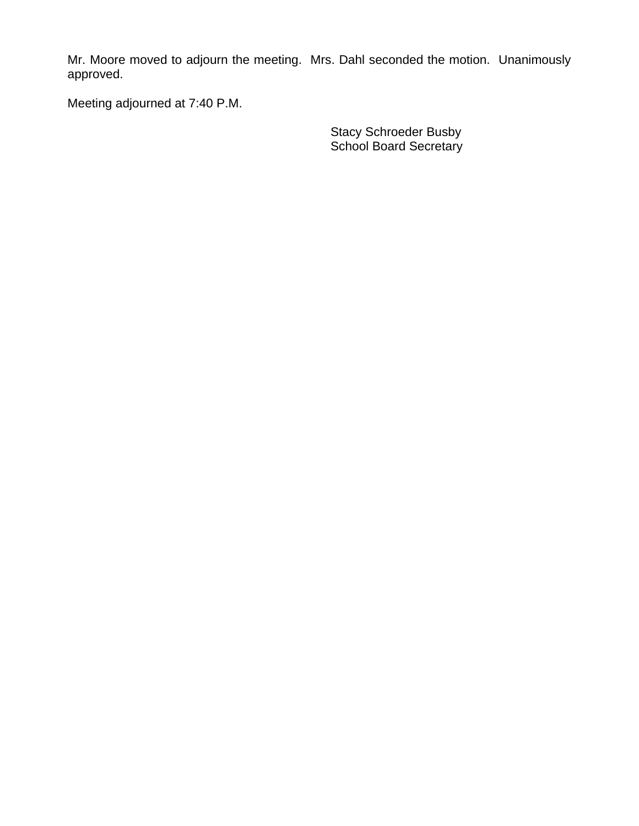Mr. Moore moved to adjourn the meeting. Mrs. Dahl seconded the motion. Unanimously approved.

Meeting adjourned at 7:40 P.M.

Stacy Schroeder Busby School Board Secretary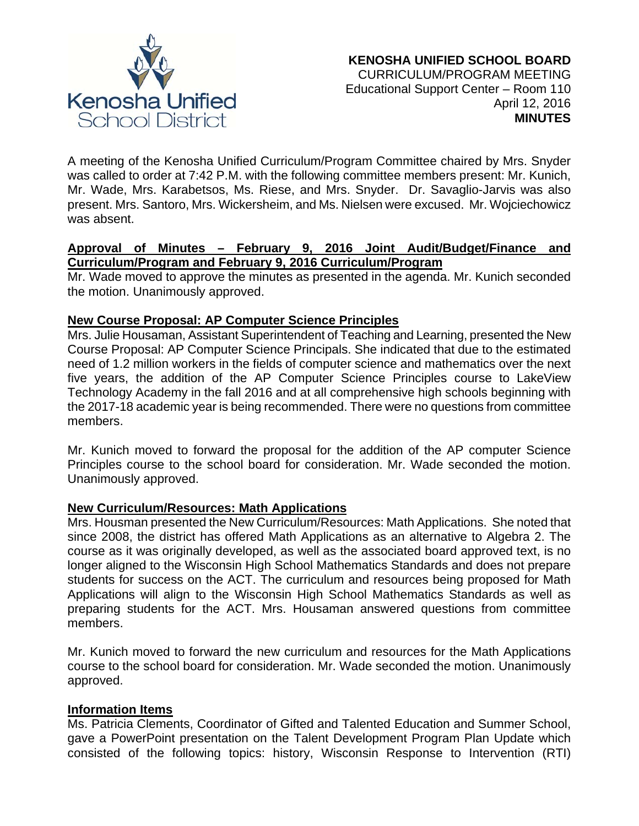

A meeting of the Kenosha Unified Curriculum/Program Committee chaired by Mrs. Snyder was called to order at 7:42 P.M. with the following committee members present: Mr. Kunich, Mr. Wade, Mrs. Karabetsos, Ms. Riese, and Mrs. Snyder. Dr. Savaglio-Jarvis was also present. Mrs. Santoro, Mrs. Wickersheim, and Ms. Nielsen were excused. Mr. Wojciechowicz was absent.

## **Approval of Minutes – February 9, 2016 Joint Audit/Budget/Finance and Curriculum/Program and February 9, 2016 Curriculum/Program**

Mr. Wade moved to approve the minutes as presented in the agenda. Mr. Kunich seconded the motion. Unanimously approved.

## **New Course Proposal: AP Computer Science Principles**

Mrs. Julie Housaman, Assistant Superintendent of Teaching and Learning, presented the New Course Proposal: AP Computer Science Principals. She indicated that due to the estimated need of 1.2 million workers in the fields of computer science and mathematics over the next five years, the addition of the AP Computer Science Principles course to LakeView Technology Academy in the fall 2016 and at all comprehensive high schools beginning with the 2017-18 academic year is being recommended. There were no questions from committee members.

Mr. Kunich moved to forward the proposal for the addition of the AP computer Science Principles course to the school board for consideration. Mr. Wade seconded the motion. Unanimously approved.

### **New Curriculum/Resources: Math Applications**

Mrs. Housman presented the New Curriculum/Resources: Math Applications. She noted that since 2008, the district has offered Math Applications as an alternative to Algebra 2. The course as it was originally developed, as well as the associated board approved text, is no longer aligned to the Wisconsin High School Mathematics Standards and does not prepare students for success on the ACT. The curriculum and resources being proposed for Math Applications will align to the Wisconsin High School Mathematics Standards as well as preparing students for the ACT. Mrs. Housaman answered questions from committee members.

Mr. Kunich moved to forward the new curriculum and resources for the Math Applications course to the school board for consideration. Mr. Wade seconded the motion. Unanimously approved.

### **Information Items**

Ms. Patricia Clements, Coordinator of Gifted and Talented Education and Summer School, gave a PowerPoint presentation on the Talent Development Program Plan Update which consisted of the following topics: history, Wisconsin Response to Intervention (RTI)